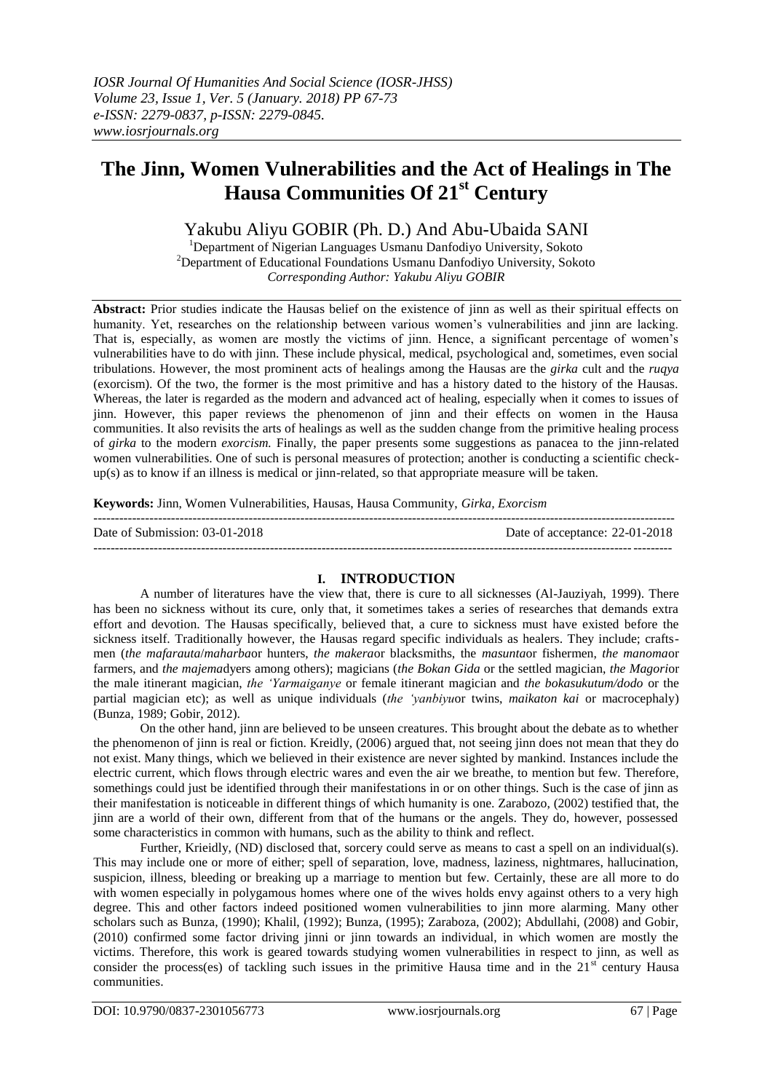# **The Jinn, Women Vulnerabilities and the Act of Healings in The Hausa Communities Of 21st Century**

# Yakubu Aliyu GOBIR (Ph. D.) And Abu-Ubaida SANI

<sup>1</sup>Department of Nigerian Languages Usmanu Danfodiyo University, Sokoto  $2$ Department of Educational Foundations Usmanu Danfodiyo University, Sokoto *Corresponding Author: Yakubu Aliyu GOBIR*

**Abstract:** Prior studies indicate the Hausas belief on the existence of jinn as well as their spiritual effects on humanity. Yet, researches on the relationship between various women's vulnerabilities and jinn are lacking. That is, especially, as women are mostly the victims of jinn. Hence, a significant percentage of women"s vulnerabilities have to do with jinn. These include physical, medical, psychological and, sometimes, even social tribulations. However, the most prominent acts of healings among the Hausas are the *girka* cult and the *ruqya* (exorcism). Of the two, the former is the most primitive and has a history dated to the history of the Hausas. Whereas, the later is regarded as the modern and advanced act of healing, especially when it comes to issues of jinn. However, this paper reviews the phenomenon of jinn and their effects on women in the Hausa communities. It also revisits the arts of healings as well as the sudden change from the primitive healing process of *girka* to the modern *exorcism.* Finally, the paper presents some suggestions as panacea to the jinn-related women vulnerabilities. One of such is personal measures of protection; another is conducting a scientific checkup(s) as to know if an illness is medical or jinn-related, so that appropriate measure will be taken.

**Keywords:** Jinn, Women Vulnerabilities, Hausas, Hausa Community, *Girka, Exorcism*

| Date of Submission: 03-01-2018 | Date of acceptance: 22-01-2018 |
|--------------------------------|--------------------------------|
|                                |                                |

# **I. INTRODUCTION**

A number of literatures have the view that, there is cure to all sicknesses (Al-Jauziyah, 1999). There has been no sickness without its cure, only that, it sometimes takes a series of researches that demands extra effort and devotion. The Hausas specifically, believed that, a cure to sickness must have existed before the sickness itself. Traditionally however, the Hausas regard specific individuals as healers. They include; craftsmen (*the mafarauta*/*maharba*or hunters, *the makera*or blacksmiths, the *masunta*or fishermen, *the manoma*or farmers, and *the majema*dyers among others); magicians (*the Bokan Gida* or the settled magician, *the Magori*or the male itinerant magician, *the 'Yarmaiganye* or female itinerant magician and *the bokasukutum/dodo* or the partial magician etc); as well as unique individuals (*the 'yanbiyu*or twins, *maikaton kai* or macrocephaly) (Bunza, 1989; Gobir, 2012).

On the other hand, jinn are believed to be unseen creatures. This brought about the debate as to whether the phenomenon of jinn is real or fiction. Kreidly, (2006) argued that, not seeing jinn does not mean that they do not exist. Many things, which we believed in their existence are never sighted by mankind. Instances include the electric current, which flows through electric wares and even the air we breathe, to mention but few. Therefore, somethings could just be identified through their manifestations in or on other things. Such is the case of jinn as their manifestation is noticeable in different things of which humanity is one. Zarabozo, (2002) testified that, the jinn are a world of their own, different from that of the humans or the angels. They do, however, possessed some characteristics in common with humans, such as the ability to think and reflect.

Further, Krieidly, (ND) disclosed that, sorcery could serve as means to cast a spell on an individual(s). This may include one or more of either; spell of separation, love, madness, laziness, nightmares, hallucination, suspicion, illness, bleeding or breaking up a marriage to mention but few. Certainly, these are all more to do with women especially in polygamous homes where one of the wives holds envy against others to a very high degree. This and other factors indeed positioned women vulnerabilities to jinn more alarming. Many other scholars such as Bunza, (1990); Khalil, (1992); Bunza, (1995); Zaraboza, (2002); Abdullahi, (2008) and Gobir, (2010) confirmed some factor driving jinni or jinn towards an individual, in which women are mostly the victims. Therefore, this work is geared towards studying women vulnerabilities in respect to jinn, as well as consider the process(es) of tackling such issues in the primitive Hausa time and in the  $21<sup>st</sup>$  century Hausa communities.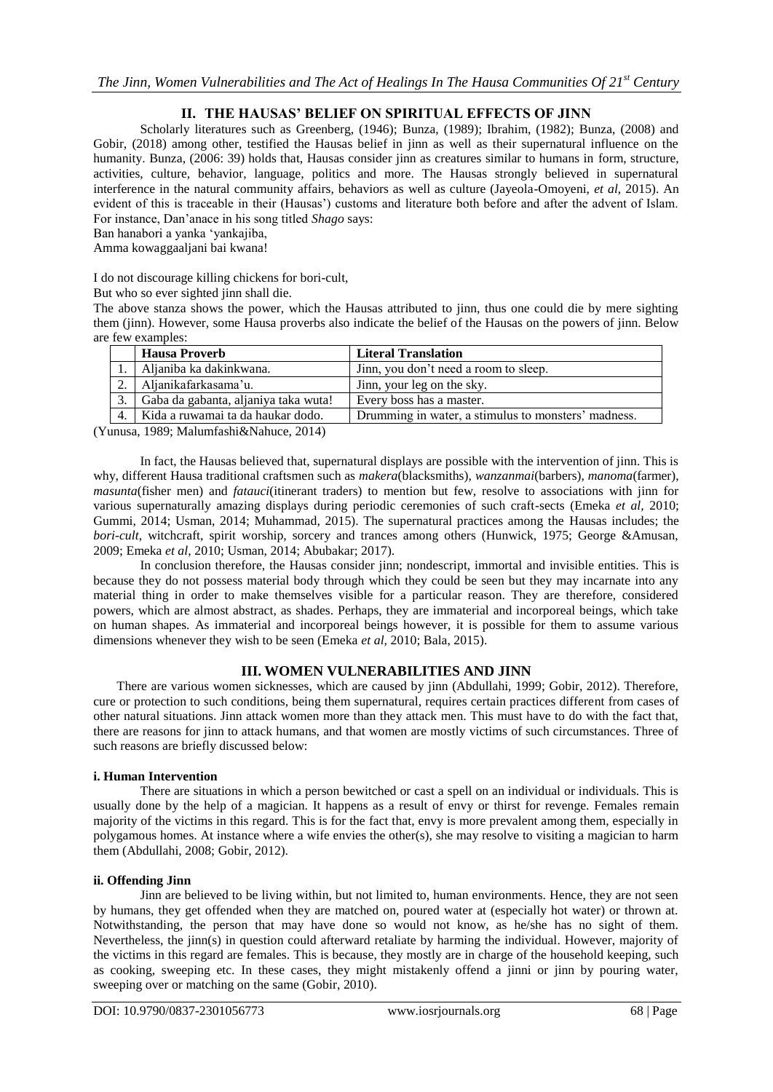# **II. THE HAUSAS' BELIEF ON SPIRITUAL EFFECTS OF JINN**

Scholarly literatures such as Greenberg, (1946); Bunza, (1989); Ibrahim, (1982); Bunza, (2008) and Gobir, (2018) among other, testified the Hausas belief in jinn as well as their supernatural influence on the humanity. Bunza, (2006: 39) holds that, Hausas consider jinn as creatures similar to humans in form, structure, activities, culture, behavior, language, politics and more. The Hausas strongly believed in supernatural interference in the natural community affairs, behaviors as well as culture (Jayeola-Omoyeni, *et al*, 2015). An evident of this is traceable in their (Hausas') customs and literature both before and after the advent of Islam. For instance, Dan"anace in his song titled *Shago* says:

Ban hanabori a yanka "yankajiba,

Amma kowaggaaljani bai kwana!

I do not discourage killing chickens for bori-cult,

But who so ever sighted jinn shall die.

The above stanza shows the power, which the Hausas attributed to jinn, thus one could die by mere sighting them (jinn). However, some Hausa proverbs also indicate the belief of the Hausas on the powers of jinn. Below are few examples:

|                |                  | <b>Hausa Proverb</b>                 | <b>Literal Translation</b>                          |
|----------------|------------------|--------------------------------------|-----------------------------------------------------|
|                |                  | Aljaniba ka dakinkwana.              | Jinn, you don't need a room to sleep.               |
|                |                  | Aljanikafarkasama'u.                 | Jinn, your leg on the sky.                          |
|                |                  | Gaba da gabanta, aljaniya taka wuta! | Every boss has a master.                            |
|                | $\overline{4}$ . | Kida a ruwamai ta da haukar dodo.    | Drumming in water, a stimulus to monsters' madness. |
| $\overline{a}$ |                  |                                      |                                                     |

(Yunusa, 1989; Malumfashi&Nahuce, 2014)

In fact, the Hausas believed that, supernatural displays are possible with the intervention of jinn. This is why, different Hausa traditional craftsmen such as *makera*(blacksmiths), *wanzanmai*(barbers), *manoma*(farmer), *masunta*(fisher men) and *fatauci*(itinerant traders) to mention but few, resolve to associations with jinn for various supernaturally amazing displays during periodic ceremonies of such craft-sects (Emeka *et al,* 2010; Gummi, 2014; Usman, 2014; Muhammad, 2015). The supernatural practices among the Hausas includes; the *bori-cult*, witchcraft, spirit worship, sorcery and trances among others (Hunwick, 1975; George &Amusan, 2009; Emeka *et al,* 2010; Usman, 2014; Abubakar; 2017).

In conclusion therefore, the Hausas consider jinn; nondescript, immortal and invisible entities. This is because they do not possess material body through which they could be seen but they may incarnate into any material thing in order to make themselves visible for a particular reason. They are therefore, considered powers, which are almost abstract, as shades. Perhaps, they are immaterial and incorporeal beings, which take on human shapes. As immaterial and incorporeal beings however, it is possible for them to assume various dimensions whenever they wish to be seen (Emeka *et al,* 2010; Bala, 2015).

# **III. WOMEN VULNERABILITIES AND JINN**

There are various women sicknesses, which are caused by jinn (Abdullahi, 1999; Gobir, 2012). Therefore, cure or protection to such conditions, being them supernatural, requires certain practices different from cases of other natural situations. Jinn attack women more than they attack men. This must have to do with the fact that, there are reasons for jinn to attack humans, and that women are mostly victims of such circumstances. Three of such reasons are briefly discussed below:

#### **i. Human Intervention**

There are situations in which a person bewitched or cast a spell on an individual or individuals. This is usually done by the help of a magician. It happens as a result of envy or thirst for revenge. Females remain majority of the victims in this regard. This is for the fact that, envy is more prevalent among them, especially in polygamous homes. At instance where a wife envies the other(s), she may resolve to visiting a magician to harm them (Abdullahi, 2008; Gobir, 2012).

#### **ii. Offending Jinn**

Jinn are believed to be living within, but not limited to, human environments. Hence, they are not seen by humans, they get offended when they are matched on, poured water at (especially hot water) or thrown at. Notwithstanding, the person that may have done so would not know, as he/she has no sight of them. Nevertheless, the jinn(s) in question could afterward retaliate by harming the individual. However, majority of the victims in this regard are females. This is because, they mostly are in charge of the household keeping, such as cooking, sweeping etc. In these cases, they might mistakenly offend a jinni or jinn by pouring water, sweeping over or matching on the same (Gobir, 2010).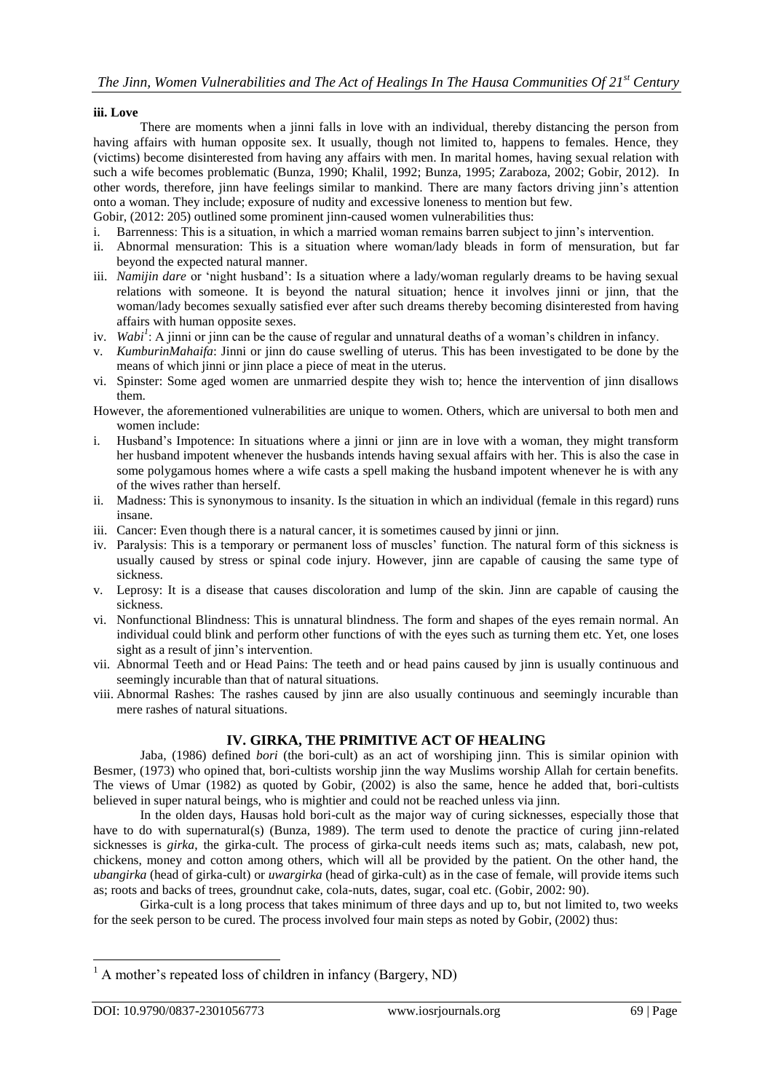#### **iii. Love**

There are moments when a jinni falls in love with an individual, thereby distancing the person from having affairs with human opposite sex. It usually, though not limited to, happens to females. Hence, they (victims) become disinterested from having any affairs with men. In marital homes, having sexual relation with such a wife becomes problematic (Bunza, 1990; Khalil, 1992; Bunza, 1995; Zaraboza, 2002; Gobir, 2012). In other words, therefore, jinn have feelings similar to mankind. There are many factors driving jinn"s attention onto a woman. They include; exposure of nudity and excessive loneness to mention but few. Gobir, (2012: 205) outlined some prominent jinn-caused women vulnerabilities thus:

i. Barrenness: This is a situation, in which a married woman remains barren subject to jinn"s intervention.

- ii. Abnormal mensuration: This is a situation where woman/lady bleads in form of mensuration, but far beyond the expected natural manner.
- iii. *Namijin dare* or 'night husband': Is a situation where a lady/woman regularly dreams to be having sexual relations with someone. It is beyond the natural situation; hence it involves jinni or jinn, that the woman/lady becomes sexually satisfied ever after such dreams thereby becoming disinterested from having affairs with human opposite sexes.
- iv. *Wabi<sup>1</sup>*: A jinni or jinn can be the cause of regular and unnatural deaths of a woman's children in infancy.
- v. *KumburinMahaifa*: Jinni or jinn do cause swelling of uterus. This has been investigated to be done by the means of which jinni or jinn place a piece of meat in the uterus.
- vi. Spinster: Some aged women are unmarried despite they wish to; hence the intervention of jinn disallows them.
- However, the aforementioned vulnerabilities are unique to women. Others, which are universal to both men and women include:
- i. Husband"s Impotence: In situations where a jinni or jinn are in love with a woman, they might transform her husband impotent whenever the husbands intends having sexual affairs with her. This is also the case in some polygamous homes where a wife casts a spell making the husband impotent whenever he is with any of the wives rather than herself.
- ii. Madness: This is synonymous to insanity. Is the situation in which an individual (female in this regard) runs insane.
- iii. Cancer: Even though there is a natural cancer, it is sometimes caused by jinni or jinn.
- iv. Paralysis: This is a temporary or permanent loss of muscles" function. The natural form of this sickness is usually caused by stress or spinal code injury. However, jinn are capable of causing the same type of sickness.
- v. Leprosy: It is a disease that causes discoloration and lump of the skin. Jinn are capable of causing the sickness.
- vi. Nonfunctional Blindness: This is unnatural blindness. The form and shapes of the eyes remain normal. An individual could blink and perform other functions of with the eyes such as turning them etc. Yet, one loses sight as a result of jinn's intervention.
- vii. Abnormal Teeth and or Head Pains: The teeth and or head pains caused by jinn is usually continuous and seemingly incurable than that of natural situations.
- viii. Abnormal Rashes: The rashes caused by jinn are also usually continuous and seemingly incurable than mere rashes of natural situations.

# **IV. GIRKA, THE PRIMITIVE ACT OF HEALING**

Jaba, (1986) defined *bori* (the bori-cult) as an act of worshiping jinn. This is similar opinion with Besmer, (1973) who opined that, bori-cultists worship jinn the way Muslims worship Allah for certain benefits. The views of Umar (1982) as quoted by Gobir, (2002) is also the same, hence he added that, bori-cultists believed in super natural beings, who is mightier and could not be reached unless via jinn.

In the olden days, Hausas hold bori-cult as the major way of curing sicknesses, especially those that have to do with supernatural(s) (Bunza, 1989). The term used to denote the practice of curing jinn-related sicknesses is *girka*, the girka-cult. The process of girka-cult needs items such as; mats, calabash, new pot, chickens, money and cotton among others, which will all be provided by the patient. On the other hand, the *ubangirka* (head of girka-cult) or *uwargirka* (head of girka-cult) as in the case of female, will provide items such as; roots and backs of trees, groundnut cake, cola-nuts, dates, sugar, coal etc. (Gobir, 2002: 90).

Girka-cult is a long process that takes minimum of three days and up to, but not limited to, two weeks for the seek person to be cured. The process involved four main steps as noted by Gobir, (2002) thus:

1

 $<sup>1</sup>$  A mother's repeated loss of children in infancy (Bargery, ND)</sup>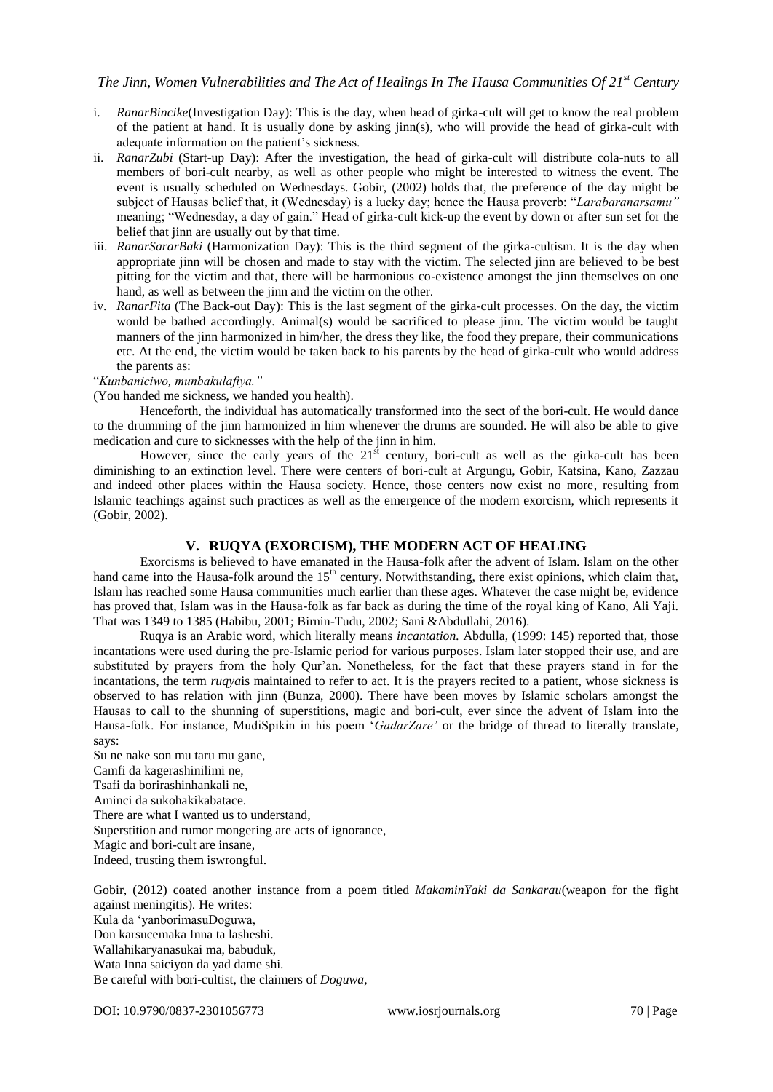- i. *RanarBincike*(Investigation Day): This is the day, when head of girka-cult will get to know the real problem of the patient at hand. It is usually done by asking jinn(s), who will provide the head of girka-cult with adequate information on the patient's sickness.
- ii. *RanarZubi* (Start-up Day): After the investigation, the head of girka-cult will distribute cola-nuts to all members of bori-cult nearby, as well as other people who might be interested to witness the event. The event is usually scheduled on Wednesdays. Gobir, (2002) holds that, the preference of the day might be subject of Hausas belief that, it (Wednesday) is a lucky day; hence the Hausa proverb: "*Larabaranarsamu"* meaning; "Wednesday, a day of gain." Head of girka-cult kick-up the event by down or after sun set for the belief that jinn are usually out by that time.
- iii. *RanarSararBaki* (Harmonization Day): This is the third segment of the girka-cultism. It is the day when appropriate jinn will be chosen and made to stay with the victim. The selected jinn are believed to be best pitting for the victim and that, there will be harmonious co-existence amongst the jinn themselves on one hand, as well as between the jinn and the victim on the other.
- iv. *RanarFita* (The Back-out Day): This is the last segment of the girka-cult processes. On the day, the victim would be bathed accordingly. Animal(s) would be sacrificed to please jinn. The victim would be taught manners of the jinn harmonized in him/her, the dress they like, the food they prepare, their communications etc. At the end, the victim would be taken back to his parents by the head of girka-cult who would address the parents as:

"*Kunbaniciwo, munbakulafiya."*

(You handed me sickness, we handed you health).

Henceforth, the individual has automatically transformed into the sect of the bori-cult. He would dance to the drumming of the jinn harmonized in him whenever the drums are sounded. He will also be able to give medication and cure to sicknesses with the help of the jinn in him.

However, since the early years of the  $21<sup>st</sup>$  century, bori-cult as well as the girka-cult has been diminishing to an extinction level. There were centers of bori-cult at Argungu, Gobir, Katsina, Kano, Zazzau and indeed other places within the Hausa society. Hence, those centers now exist no more, resulting from Islamic teachings against such practices as well as the emergence of the modern exorcism, which represents it (Gobir, 2002).

# **V. RUQYA (EXORCISM), THE MODERN ACT OF HEALING**

Exorcisms is believed to have emanated in the Hausa-folk after the advent of Islam. Islam on the other hand came into the Hausa-folk around the  $15<sup>th</sup>$  century. Notwithstanding, there exist opinions, which claim that, Islam has reached some Hausa communities much earlier than these ages. Whatever the case might be, evidence has proved that, Islam was in the Hausa-folk as far back as during the time of the royal king of Kano, Ali Yaji. That was 1349 to 1385 (Habibu, 2001; Birnin-Tudu, 2002; Sani &Abdullahi, 2016).

Ruqya is an Arabic word, which literally means *incantation.* Abdulla, (1999: 145) reported that, those incantations were used during the pre-Islamic period for various purposes. Islam later stopped their use, and are substituted by prayers from the holy Qur'an. Nonetheless, for the fact that these prayers stand in for the incantations, the term *ruqya*is maintained to refer to act. It is the prayers recited to a patient, whose sickness is observed to has relation with jinn (Bunza, 2000). There have been moves by Islamic scholars amongst the Hausas to call to the shunning of superstitions, magic and bori-cult, ever since the advent of Islam into the Hausa-folk. For instance, MudiSpikin in his poem "*GadarZare'* or the bridge of thread to literally translate, says:

Su ne nake son mu taru mu gane, Camfi da kagerashinilimi ne, Tsafi da borirashinhankali ne, Aminci da sukohakikabatace. There are what I wanted us to understand, Superstition and rumor mongering are acts of ignorance, Magic and bori-cult are insane, Indeed, trusting them iswrongful.

Gobir, (2012) coated another instance from a poem titled *MakaminYaki da Sankarau*(weapon for the fight against meningitis)*.* He writes: Kula da "yanborimasuDoguwa, Don karsucemaka Inna ta lasheshi. Wallahikaryanasukai ma, babuduk, Wata Inna saiciyon da yad dame shi. Be careful with bori-cultist, the claimers of *Doguwa,*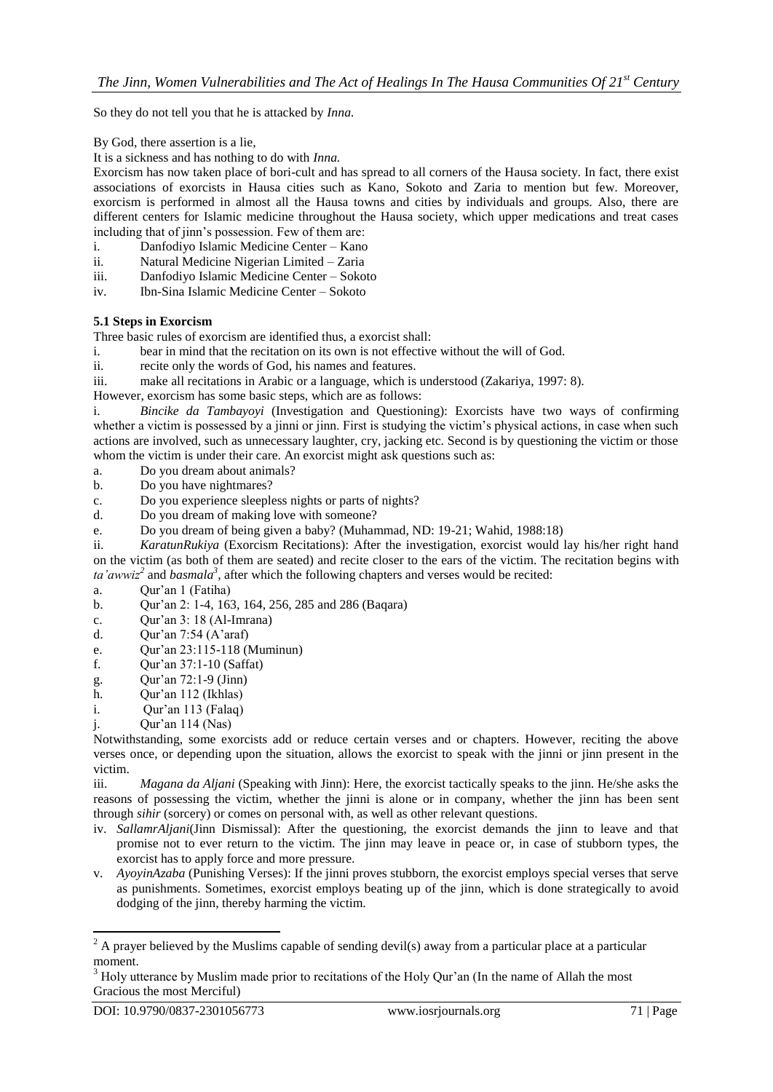So they do not tell you that he is attacked by *Inna.*

By God, there assertion is a lie,

It is a sickness and has nothing to do with *Inna.*

Exorcism has now taken place of bori-cult and has spread to all corners of the Hausa society. In fact, there exist associations of exorcists in Hausa cities such as Kano, Sokoto and Zaria to mention but few. Moreover, exorcism is performed in almost all the Hausa towns and cities by individuals and groups. Also, there are different centers for Islamic medicine throughout the Hausa society, which upper medications and treat cases including that of jinn"s possession. Few of them are:

- i. Danfodiyo Islamic Medicine Center Kano
- ii. Natural Medicine Nigerian Limited Zaria
- iii. Danfodiyo Islamic Medicine Center Sokoto
- iv. Ibn-Sina Islamic Medicine Center Sokoto

# **5.1 Steps in Exorcism**

Three basic rules of exorcism are identified thus, a exorcist shall:

- i. bear in mind that the recitation on its own is not effective without the will of God.
- ii. recite only the words of God, his names and features.
- iii. make all recitations in Arabic or a language, which is understood (Zakariya, 1997: 8).

However, exorcism has some basic steps, which are as follows:

i. *Bincike da Tambayoyi* (Investigation and Questioning): Exorcists have two ways of confirming whether a victim is possessed by a jinni or jinn. First is studying the victim's physical actions, in case when such actions are involved, such as unnecessary laughter, cry, jacking etc. Second is by questioning the victim or those whom the victim is under their care. An exorcist might ask questions such as:

- a. Do you dream about animals?
- b. Do you have nightmares?
- c. Do you experience sleepless nights or parts of nights?
- d. Do you dream of making love with someone?
- e. Do you dream of being given a baby? (Muhammad, ND: 19-21; Wahid, 1988:18)

ii. *KaratunRukiya* (Exorcism Recitations): After the investigation, exorcist would lay his/her right hand on the victim (as both of them are seated) and recite closer to the ears of the victim. The recitation begins with *ta'awwiz<sup>2</sup>* and *basmala<sup>3</sup>* , after which the following chapters and verses would be recited:

a. Qur"an 1 (Fatiha)

- b. Qur"an 2: 1-4, 163, 164, 256, 285 and 286 (Baqara)
- c. Qur"an 3: 18 (Al-Imrana)
- d. Qur'an  $7:54$  (A'araf)
- e. Qur"an 23:115-118 (Muminun)
- f. Qur"an 37:1-10 (Saffat)
- g. Qur"an 72:1-9 (Jinn)
- h. Qur'an 112 (Ikhlas)
- i. Qur"an 113 (Falaq)
- j. Qur"an 114 (Nas)

Notwithstanding, some exorcists add or reduce certain verses and or chapters. However, reciting the above verses once, or depending upon the situation, allows the exorcist to speak with the jinni or jinn present in the victim.

iii. *Magana da Aljani* (Speaking with Jinn): Here, the exorcist tactically speaks to the jinn. He/she asks the reasons of possessing the victim, whether the jinni is alone or in company, whether the jinn has been sent through *sihir* (sorcery) or comes on personal with, as well as other relevant questions.

- iv. *SallamrAljani*(Jinn Dismissal): After the questioning, the exorcist demands the jinn to leave and that promise not to ever return to the victim. The jinn may leave in peace or, in case of stubborn types, the exorcist has to apply force and more pressure.
- v. *AyoyinAzaba* (Punishing Verses): If the jinni proves stubborn, the exorcist employs special verses that serve as punishments. Sometimes, exorcist employs beating up of the jinn, which is done strategically to avoid dodging of the jinn, thereby harming the victim.

**.** 

 $2^2$  A prayer believed by the Muslims capable of sending devil(s) away from a particular place at a particular moment.

<sup>&</sup>lt;sup>3</sup> Holy utterance by Muslim made prior to recitations of the Holy Qur'an (In the name of Allah the most Gracious the most Merciful)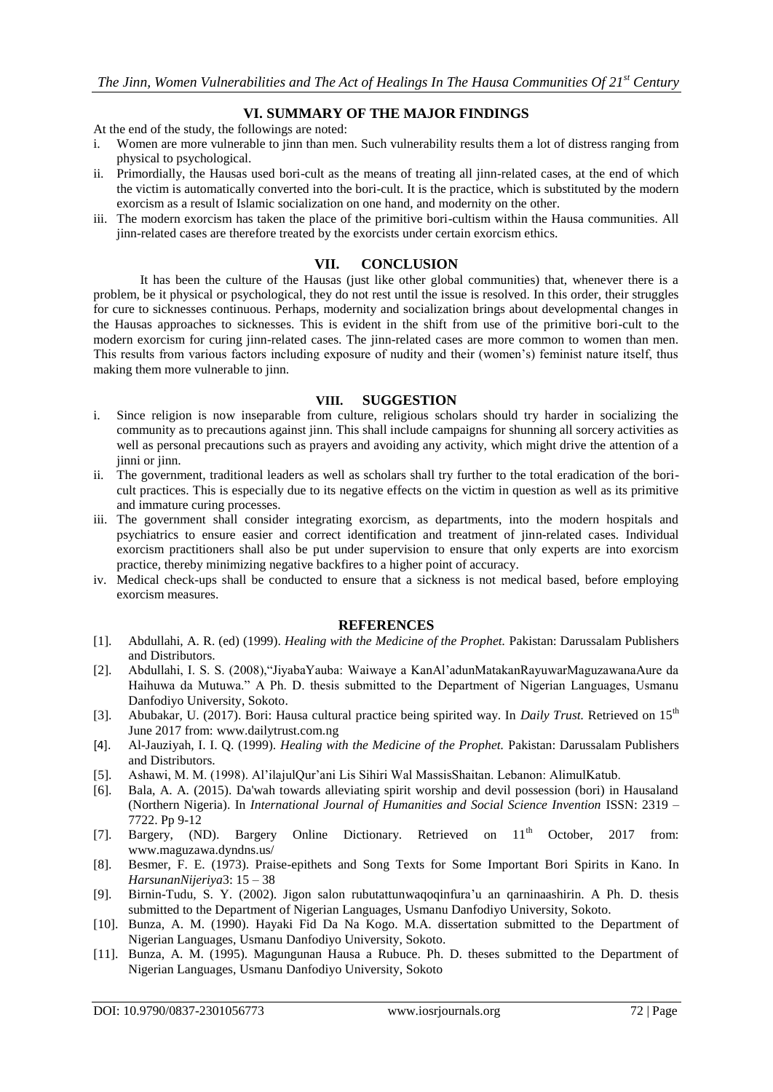# **VI. SUMMARY OF THE MAJOR FINDINGS**

At the end of the study, the followings are noted:

- i. Women are more vulnerable to jinn than men. Such vulnerability results them a lot of distress ranging from physical to psychological.
- ii. Primordially, the Hausas used bori-cult as the means of treating all jinn-related cases, at the end of which the victim is automatically converted into the bori-cult. It is the practice, which is substituted by the modern exorcism as a result of Islamic socialization on one hand, and modernity on the other.
- iii. The modern exorcism has taken the place of the primitive bori-cultism within the Hausa communities. All jinn-related cases are therefore treated by the exorcists under certain exorcism ethics.

#### **VII. CONCLUSION**

It has been the culture of the Hausas (just like other global communities) that, whenever there is a problem, be it physical or psychological, they do not rest until the issue is resolved. In this order, their struggles for cure to sicknesses continuous. Perhaps, modernity and socialization brings about developmental changes in the Hausas approaches to sicknesses. This is evident in the shift from use of the primitive bori-cult to the modern exorcism for curing jinn-related cases. The jinn-related cases are more common to women than men. This results from various factors including exposure of nudity and their (women"s) feminist nature itself, thus making them more vulnerable to jinn.

#### **VIII. SUGGESTION**

- i. Since religion is now inseparable from culture, religious scholars should try harder in socializing the community as to precautions against jinn. This shall include campaigns for shunning all sorcery activities as well as personal precautions such as prayers and avoiding any activity, which might drive the attention of a jinni or jinn.
- ii. The government, traditional leaders as well as scholars shall try further to the total eradication of the boricult practices. This is especially due to its negative effects on the victim in question as well as its primitive and immature curing processes.
- iii. The government shall consider integrating exorcism, as departments, into the modern hospitals and psychiatrics to ensure easier and correct identification and treatment of jinn-related cases. Individual exorcism practitioners shall also be put under supervision to ensure that only experts are into exorcism practice, thereby minimizing negative backfires to a higher point of accuracy.
- iv. Medical check-ups shall be conducted to ensure that a sickness is not medical based, before employing exorcism measures.

#### **REFERENCES**

- [1]. Abdullahi, A. R. (ed) (1999). *Healing with the Medicine of the Prophet.* Pakistan: Darussalam Publishers and Distributors.
- [2]. Abdullahi, I. S. S. (2008),"JiyabaYauba: Waiwaye a KanAl"adunMatakanRayuwarMaguzawanaAure da Haihuwa da Mutuwa." A Ph. D. thesis submitted to the Department of Nigerian Languages, Usmanu Danfodiyo University, Sokoto.
- [3]. Abubakar, U. (2017). Bori: Hausa cultural practice being spirited way. In *Daily Trust*. Retrieved on 15<sup>th</sup> June 2017 from: [www.dailytrust.com.ng](http://www.dailytrust.com.ng/)
- [4]. Al-Jauziyah, I. I. Q. (1999). *Healing with the Medicine of the Prophet.* Pakistan: Darussalam Publishers and Distributors.
- [5]. Ashawi, M. M. (1998). Al"ilajulQur"ani Lis Sihiri Wal MassisShaitan. Lebanon: AlimulKatub.
- [6]. Bala, A. A. (2015). Da'wah towards alleviating spirit worship and devil possession (bori) in Hausaland (Northern Nigeria). In *International Journal of Humanities and Social Science Invention* ISSN: 2319 – 7722. Pp 9-12
- [7]. Bargery, (ND). Bargery Online Dictionary. Retrieved on  $11<sup>th</sup>$  October, 2017 from: [www.maguzawa.dyndns.us/](http://www.maguzawa.dyndns.us/)
- [8]. Besmer, F. E. (1973). Praise-epithets and Song Texts for Some Important Bori Spirits in Kano. In *HarsunanNijeriya*3: 15 – 38
- [9]. Birnin-Tudu, S. Y. (2002). Jigon salon rubutattunwaqoqinfura"u an qarninaashirin. A Ph. D. thesis submitted to the Department of Nigerian Languages, Usmanu Danfodiyo University, Sokoto.
- [10]. Bunza, A. M. (1990). Hayaki Fid Da Na Kogo. M.A. dissertation submitted to the Department of Nigerian Languages, Usmanu Danfodiyo University, Sokoto.
- [11]. Bunza, A. M. (1995). Magungunan Hausa a Rubuce. Ph. D. theses submitted to the Department of Nigerian Languages, Usmanu Danfodiyo University, Sokoto